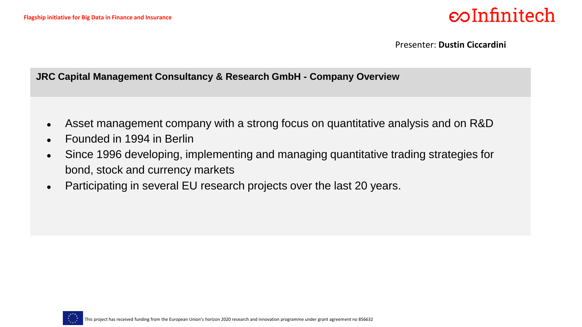Presenter: **Dustin Ciccardini**

#### **JRC Capital Management Consultancy & Research GmbH - Company Overview**

- Asset management company with a strong focus on quantitative analysis and on R&D
- Founded in 1994 in Berlin
- Since 1996 developing, implementing and managing quantitative trading strategies for bond, stock and currency markets
- Participating in several EU research projects over the last 20 years.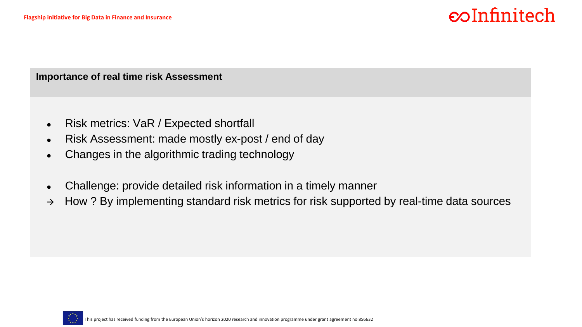**Importance of real time risk Assessment**

- Risk metrics: VaR / Expected shortfall
- Risk Assessment: made mostly ex-post / end of day
- Changes in the algorithmic trading technology
- Challenge: provide detailed risk information in a timely manner
- $\rightarrow$  How ? By implementing standard risk metrics for risk supported by real-time data sources

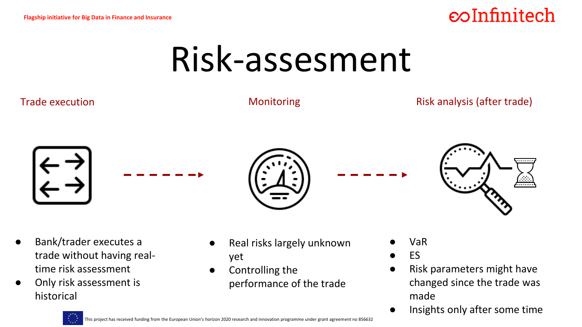## Risk-assesment



Only risk assessment is historical

This project has received funding from the European Union's horizon 2020 research and innovation programme under grant agreement no 856632

- made
	- Insights only after some time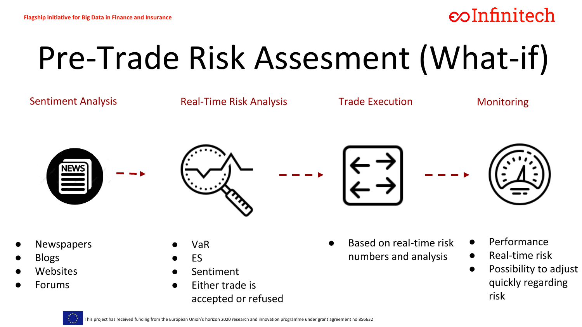# Pre-Trade Risk Assesment (What-if)

Sentiment Analysis **Manuel Anal-Time Risk Analysis** Trade Execution **Manuel Monitoring** 









- **Newspapers**
- **Blogs**
- **Websites**
- **Forums**
- VaR
- **FS**
- **Sentiment**
- Either trade is accepted or refused
- Based on real-time risk numbers and analysis
- Performance
- Real-time risk
- Possibility to adjust quickly regarding risk